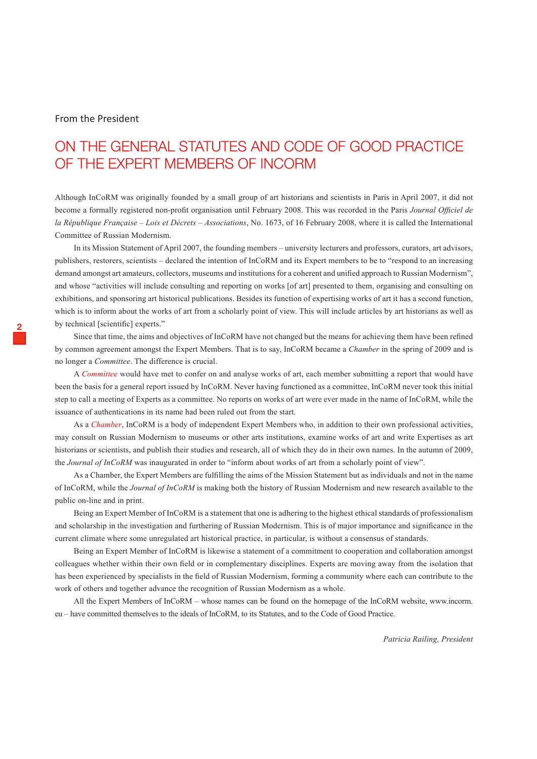#### From the President

# On the General Statutes and Code of Good Practice of the Expert Members of InCoRM

Although InCoRM was originally founded by a small group of art historians and scientists in Paris in April 2007, it did not become a formally registered non-profit organisation until February 2008. This was recorded in the Paris *Journal Officiel de la République Française – Lois et Décrets – Associations*, No. 1673, of 16 February 2008, where it is called the International Committee of Russian Modernism.

In its Mission Statement of April 2007, the founding members – university lecturers and professors, curators, art advisors, publishers, restorers, scientists – declared the intention of InCoRM and its Expert members to be to "respond to an increasing demand amongst art amateurs, collectors, museums and institutions for a coherent and unified approach to Russian Modernism", and whose "activities will include consulting and reporting on works [of art] presented to them, organising and consulting on exhibitions, and sponsoring art historical publications. Besides its function of expertising works of art it has a second function, which is to inform about the works of art from a scholarly point of view. This will include articles by art historians as well as by technical [scientific] experts."

Since that time, the aims and objectives of InCoRM have not changed but the means for achieving them have been refined by common agreement amongst the Expert Members. That is to say, InCoRM became a *Chamber* in the spring of 2009 and is no longer a *Committee*. The difference is crucial.

A *Committee* would have met to confer on and analyse works of art, each member submitting a report that would have been the basis for a general report issued by InCoRM. Never having functioned as a committee, InCoRM never took this initial step to call a meeting of Experts as a committee. No reports on works of art were ever made in the name of InCoRM, while the issuance of authentications in its name had been ruled out from the start.

As a *Chamber*, InCoRM is a body of independent Expert Members who, in addition to their own professional activities, may consult on Russian Modernism to museums or other arts institutions, examine works of art and write Expertises as art historians or scientists, and publish their studies and research, all of which they do in their own names. In the autumn of 2009, the *Journal of InCoRM* was inaugurated in order to "inform about works of art from a scholarly point of view".

As a Chamber, the Expert Members are fulfilling the aims of the Mission Statement but as individuals and not in the name of InCoRM, while the *Journal of InCoRM* is making both the history of Russian Modernism and new research available to the public on-line and in print.

Being an Expert Member of InCoRM is a statement that one is adhering to the highest ethical standards of professionalism and scholarship in the investigation and furthering of Russian Modernism. This is of major importance and significance in the current climate where some unregulated art historical practice, in particular, is without a consensus of standards.

Being an Expert Member of InCoRM is likewise a statement of a commitment to cooperation and collaboration amongst colleagues whether within their own field or in complementary disciplines. Experts are moving away from the isolation that has been experienced by specialists in the field of Russian Modernism, forming a community where each can contribute to the work of others and together advance the recognition of Russian Modernism as a whole.

All the Expert Members of InCoRM – whose names can be found on the homepage of the InCoRM website, www.incorm. eu – have committed themselves to the ideals of InCoRM, to its Statutes, and to the Code of Good Practice.

*Patricia Railing, President*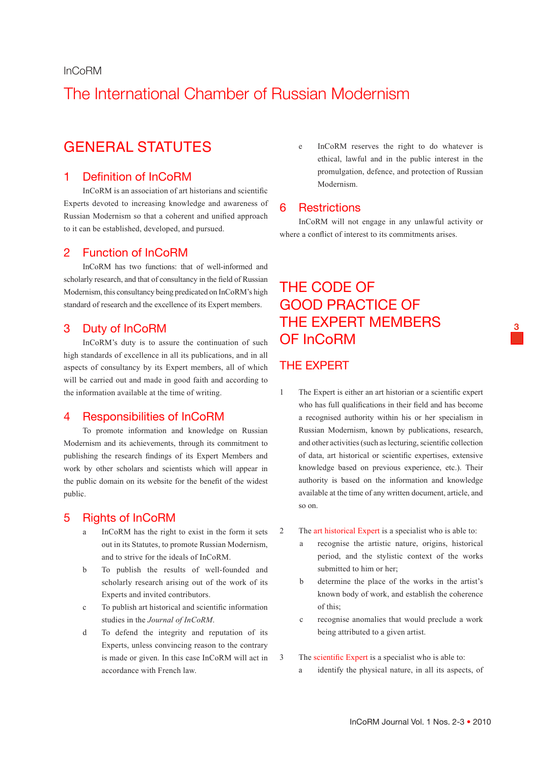#### InCoRM

# The International Chamber of Russian Modernism

## GENERAL STATUTES

## 1 Definition of InCoRM

InCoRM is an association of art historians and scientific Experts devoted to increasing knowledge and awareness of Russian Modernism so that a coherent and unified approach to it can be established, developed, and pursued.

## 2 Function of InCoRM

InCoRM has two functions: that of well-informed and scholarly research, and that of consultancy in the field of Russian Modernism, this consultancy being predicated on InCoRM's high standard of research and the excellence of its Expert members.

### 3 Duty of InCoRM

InCoRM's duty is to assure the continuation of such high standards of excellence in all its publications, and in all aspects of consultancy by its Expert members, all of which will be carried out and made in good faith and according to the information available at the time of writing.

#### 4 Responsibilities of InCoRM

To promote information and knowledge on Russian Modernism and its achievements, through its commitment to publishing the research findings of its Expert Members and work by other scholars and scientists which will appear in the public domain on its website for the benefit of the widest public.

## 5 Rights of InCoRM

- a InCoRM has the right to exist in the form it sets out in its Statutes, to promote Russian Modernism, and to strive for the ideals of InCoRM.
- b To publish the results of well-founded and scholarly research arising out of the work of its Experts and invited contributors.
- c To publish art historical and scientific information studies in the *Journal of InCoRM*.
- d To defend the integrity and reputation of its Experts, unless convincing reason to the contrary is made or given. In this case InCoRM will act in accordance with French law.

e InCoRM reserves the right to do whatever is ethical, lawful and in the public interest in the promulgation, defence, and protection of Russian Modernism.

#### 6 Restrictions

InCoRM will not engage in any unlawful activity or where a conflict of interest to its commitments arises.

**3**

# THE CODE OF GOOD PRACTICE OF THE EXPERT MEMBERS OF InCoRM

### THE EXPERT

- 1 The Expert is either an art historian or a scientific expert who has full qualifications in their field and has become a recognised authority within his or her specialism in Russian Modernism, known by publications, research, and other activities (such as lecturing, scientific collection of data, art historical or scientific expertises, extensive knowledge based on previous experience, etc.). Their authority is based on the information and knowledge available at the time of any written document, article, and so on.
- 2 The art historical Expert is a specialist who is able to:
	- a recognise the artistic nature, origins, historical period, and the stylistic context of the works submitted to him or her;
	- b determine the place of the works in the artist's known body of work, and establish the coherence of this;
	- c recognise anomalies that would preclude a work being attributed to a given artist.

3 The scientific Expert is a specialist who is able to:

a identify the physical nature, in all its aspects, of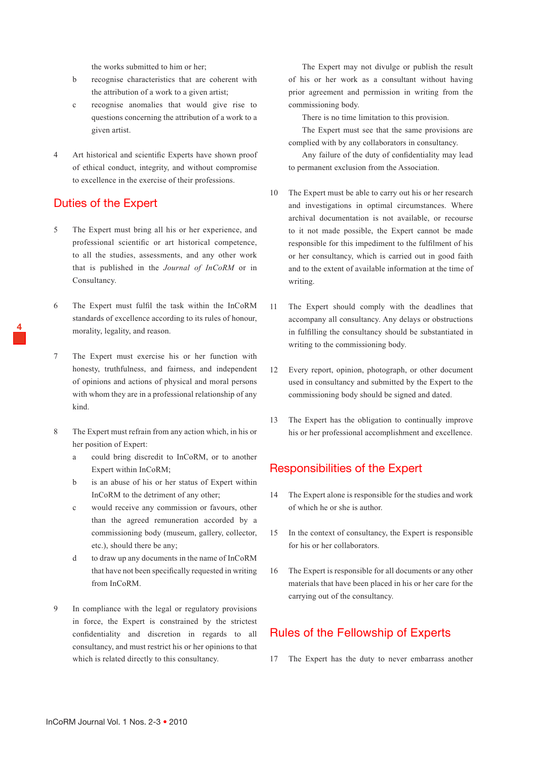the works submitted to him or her;

- b recognise characteristics that are coherent with the attribution of a work to a given artist;
- c recognise anomalies that would give rise to questions concerning the attribution of a work to a given artist.
- 4 Art historical and scientific Experts have shown proof of ethical conduct, integrity, and without compromise to excellence in the exercise of their professions.

### Duties of the Expert

**4**

- 5 The Expert must bring all his or her experience, and professional scientific or art historical competence, to all the studies, assessments, and any other work that is published in the *Journal of InCoRM* or in Consultancy.
- 6 The Expert must fulfil the task within the InCoRM standards of excellence according to its rules of honour, morality, legality, and reason.
- 7 The Expert must exercise his or her function with honesty, truthfulness, and fairness, and independent of opinions and actions of physical and moral persons with whom they are in a professional relationship of any kind.
- 8 The Expert must refrain from any action which, in his or her position of Expert:
	- a could bring discredit to InCoRM, or to another Expert within InCoRM;
	- b is an abuse of his or her status of Expert within InCoRM to the detriment of any other;
	- c would receive any commission or favours, other than the agreed remuneration accorded by a commissioning body (museum, gallery, collector, etc.), should there be any;
	- d to draw up any documents in the name of InCoRM that have not been specifically requested in writing from InCoRM.
- 9 In compliance with the legal or regulatory provisions in force, the Expert is constrained by the strictest confidentiality and discretion in regards to all consultancy, and must restrict his or her opinions to that which is related directly to this consultancy.

The Expert may not divulge or publish the result of his or her work as a consultant without having prior agreement and permission in writing from the commissioning body.

There is no time limitation to this provision.

The Expert must see that the same provisions are complied with by any collaborators in consultancy.

Any failure of the duty of confidentiality may lead to permanent exclusion from the Association.

- 10 The Expert must be able to carry out his or her research and investigations in optimal circumstances. Where archival documentation is not available, or recourse to it not made possible, the Expert cannot be made responsible for this impediment to the fulfilment of his or her consultancy, which is carried out in good faith and to the extent of available information at the time of writing.
- 11 The Expert should comply with the deadlines that accompany all consultancy. Any delays or obstructions in fulfilling the consultancy should be substantiated in writing to the commissioning body.
- 12 Every report, opinion, photograph, or other document used in consultancy and submitted by the Expert to the commissioning body should be signed and dated.
- 13 The Expert has the obligation to continually improve his or her professional accomplishment and excellence.

## Responsibilities of the Expert

- 14 The Expert alone is responsible for the studies and work of which he or she is author.
- 15 In the context of consultancy, the Expert is responsible for his or her collaborators.
- 16 The Expert is responsible for all documents or any other materials that have been placed in his or her care for the carrying out of the consultancy.

## Rules of the Fellowship of Experts

17 The Expert has the duty to never embarrass another